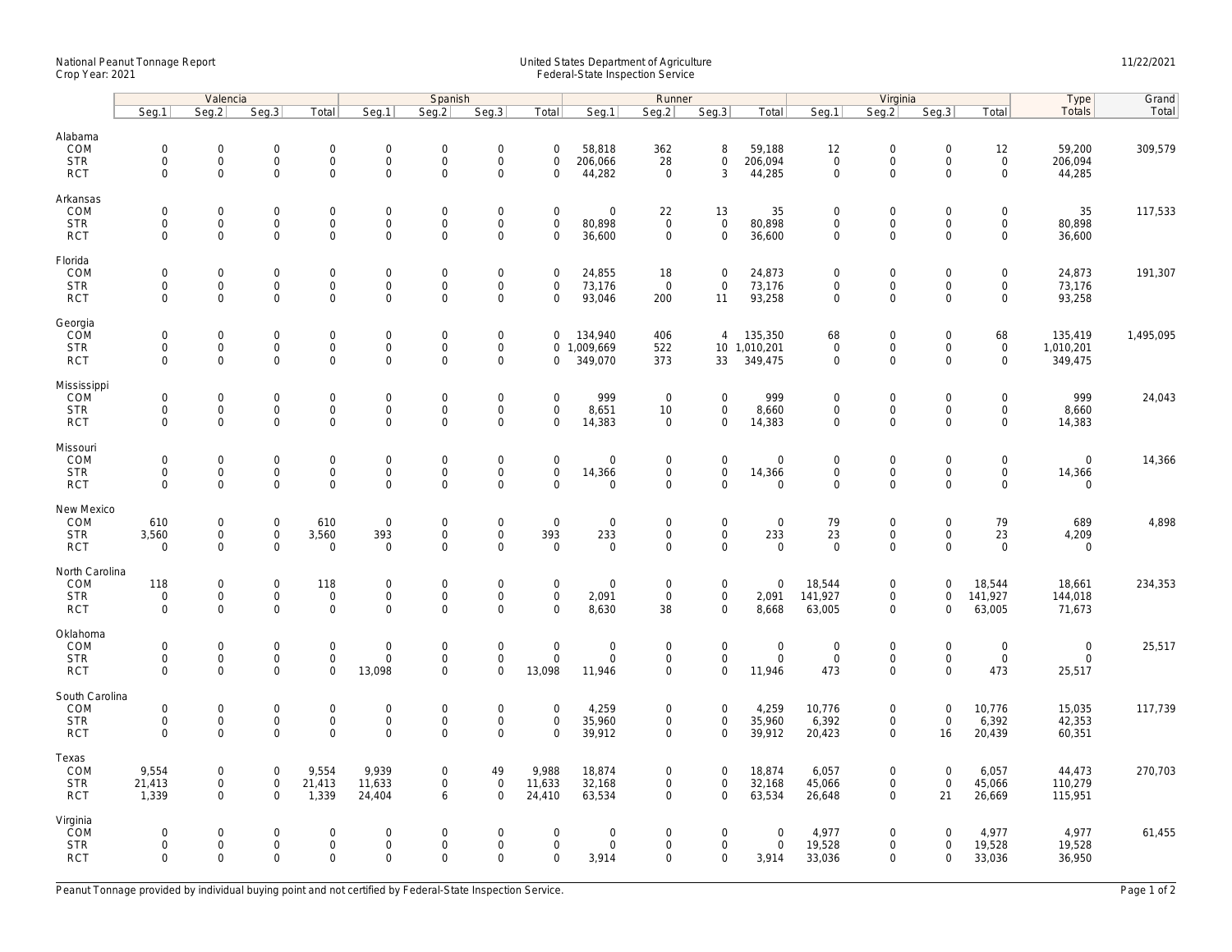## National Peanut Tonnage Report United States Department of Agriculture 11/22/2021<br>Crop Year: 2021 Federal-State Inspection Service

|                          | Valencia                                   |                                            |                                    |                                    | Spanish                             |                             |                                    |                                    |                              | Runner                     |                                            |                            |                                    | Virginia                         |                                    |                                            |                            | Grand     |
|--------------------------|--------------------------------------------|--------------------------------------------|------------------------------------|------------------------------------|-------------------------------------|-----------------------------|------------------------------------|------------------------------------|------------------------------|----------------------------|--------------------------------------------|----------------------------|------------------------------------|----------------------------------|------------------------------------|--------------------------------------------|----------------------------|-----------|
|                          | Seq.1                                      | Seq.2                                      | Seq.3                              | Total                              | Seg.1                               | Seg.2                       | Seq.3                              | Total                              | Seg.1                        | Seg.2                      | Seq.3                                      | Total                      | Seg.1                              | Seq.2                            | Seq.3                              | Total                                      | Type<br>Totals             | Total     |
| Alabama                  |                                            |                                            |                                    |                                    |                                     |                             |                                    |                                    |                              |                            |                                            |                            |                                    |                                  |                                    |                                            |                            |           |
| COM                      | $\mathbf 0$                                | $\mathbf 0$                                | $\mathbf 0$                        | 0                                  | $\mathbf 0$                         | 0                           | $\mathbf 0$                        | $\mathbf 0$                        | 58,818                       | 362                        | 8                                          | 59,188                     | 12                                 | $\mathbf 0$                      | $\mathsf{O}\xspace$                | 12                                         | 59,200                     | 309,579   |
| <b>STR</b>               | $\mathbf 0$                                | $\mathsf{O}\xspace$                        | $\mathbf 0$                        | 0                                  | $\overline{0}$                      | 0                           | $\mathsf{O}\xspace$                | $\mathbf 0$                        | 206,066                      | 28                         | 0                                          | 206,094                    | $\mathbf 0$                        | $\mathsf 0$                      | $\mathsf{O}\xspace$                | $\mathsf{O}$                               | 206,094                    |           |
| <b>RCT</b>               | $\mathbf 0$                                | $\mathbf 0$                                | $\mathbf 0$                        | $\mathsf{O}\xspace$                | $\mathbf{0}$                        | $\mathsf{O}$                | $\mathsf 0$                        | $\mathbf 0$                        | 44,282                       | $\mathbf 0$                | 3                                          | 44,285                     | $\mathbf 0$                        | $\mathbf 0$                      | $\mathbf 0$                        | $\mathbf 0$                                | 44,285                     |           |
| Arkansas                 |                                            |                                            |                                    |                                    |                                     |                             |                                    |                                    |                              |                            |                                            |                            |                                    |                                  |                                    |                                            |                            |           |
| COM                      | $\mathbf 0$                                | $\mathbf 0$                                | $\mathbf 0$                        | 0                                  | $\mathbf 0$                         | $\mathbf 0$                 | $\boldsymbol{0}$                   | $\mathbf 0$                        | $\mathbf 0$                  | 22                         | 13                                         | 35                         | $\mathbf 0$                        | $\boldsymbol{0}$                 | $\mathbf 0$                        | $\mathsf{O}\xspace$                        | 35                         | 117,533   |
| <b>STR</b>               | $\mathbf 0$                                | $\mathbf 0$                                | $\mathbf{0}$                       | 0                                  | $\mathbf 0$                         | $\mathbf{0}$                | $\mathsf{O}\xspace$                | $\mathbf 0$                        | 80,898                       | $\mathbf{0}$               | $\mathsf{O}\xspace$                        | 80,898                     | $\mathbf{0}$                       | $\mathsf 0$                      | $\mathbf 0$                        | $\mathbf 0$                                | 80,898                     |           |
| <b>RCT</b>               | $\mathbf 0$                                | $\mathbf 0$                                | $\mathbf 0$                        | $\mathsf{O}\xspace$                | $\mathbf 0$                         | 0                           | $\mathsf{O}\xspace$                | $\mathbf 0$                        | 36,600                       | $\mathbf 0$                | $\mathsf{O}\xspace$                        | 36,600                     | $\mathbf 0$                        | $\mathsf{O}$                     | $\mathsf{O}\xspace$                | $\mathbf 0$                                | 36,600                     |           |
| Florida                  |                                            |                                            |                                    |                                    |                                     |                             |                                    |                                    |                              |                            |                                            |                            |                                    |                                  |                                    |                                            |                            |           |
| COM<br><b>STR</b>        | $\mathbf 0$<br>$\mathsf{O}\xspace$         | $\mathbf 0$<br>$\mathsf{O}\xspace$         | $\mathbf 0$<br>$\mathbf 0$         | 0<br>0                             | $\mathbf 0$<br>$\mathbf 0$          | 0<br>$\mathbf 0$            | $\mathbf 0$<br>$\mathsf{O}\xspace$ | $\mathbf 0$<br>$\mathbf 0$         | 24,855<br>73,176             | 18<br>$\overline{0}$       | $\mathsf{O}\xspace$<br>$\mathsf{O}\xspace$ | 24,873<br>73,176           | $\mathbf{0}$<br>$\mathbf 0$        | $\boldsymbol{0}$<br>$\mathsf{O}$ | $\mathsf{O}\xspace$<br>$\mathbf 0$ | $\mathsf{O}\xspace$<br>$\mathsf{O}\xspace$ | 24,873<br>73,176           | 191,307   |
| <b>RCT</b>               | $\mathsf{O}\xspace$                        | $\mathbf 0$                                | $\mathsf{O}\xspace$                | 0                                  | $\mathbf 0$                         | 0                           | $\mathsf{O}\xspace$                | $\mathbf 0$                        | 93,046                       | 200                        | 11                                         | 93,258                     | $\mathbf 0$                        | $\mathbf 0$                      | $\mathsf{O}\xspace$                | $\mathbf 0$                                | 93,258                     |           |
|                          |                                            |                                            |                                    |                                    |                                     |                             |                                    |                                    |                              |                            |                                            |                            |                                    |                                  |                                    |                                            |                            |           |
| Georgia                  |                                            |                                            |                                    |                                    |                                     |                             |                                    |                                    |                              |                            |                                            |                            |                                    |                                  |                                    |                                            |                            |           |
| COM<br><b>STR</b>        | $\mathsf{O}\xspace$<br>$\mathsf{O}\xspace$ | $\mathsf 0$<br>$\mathsf 0$                 | $\mathsf{O}\xspace$<br>$\mathbf 0$ | 0<br>0                             | $\mathbf 0$<br>$\mathbf 0$          | 0<br>$\mathbf 0$            | $\mathbf 0$<br>$\mathsf{O}\xspace$ | $\mathbf 0$<br>$\overline{0}$      | 134,940<br>1,009,669         | 406<br>522                 | $\overline{4}$                             | 135,350<br>10 1,010,201    | 68<br>$\mathsf{O}\xspace$          | $\boldsymbol{0}$<br>$\mathsf{O}$ | $\mathsf{O}\xspace$<br>$\mathbf 0$ | 68<br>$\mathbf 0$                          | 135,419<br>1,010,201       | 1,495,095 |
| <b>RCT</b>               | $\Omega$                                   | $\Omega$                                   | $\Omega$                           | $\mathbf 0$                        | $\Omega$                            | $\mathbf{0}$                | $\mathbf 0$                        | 0                                  | 349,070                      | 373                        | 33                                         | 349,475                    | $\mathbf{0}$                       | $\mathbf 0$                      | $\Omega$                           | $\mathbf 0$                                | 349,475                    |           |
|                          |                                            |                                            |                                    |                                    |                                     |                             |                                    |                                    |                              |                            |                                            |                            |                                    |                                  |                                    |                                            |                            |           |
| Mississippi<br>COM       | $\mathbf 0$                                | $\mathbf 0$                                | $\mathbf 0$                        | 0                                  | $\mathsf{O}\xspace$                 | $\Omega$                    | $\boldsymbol{0}$                   | $\mathbf 0$                        | 999                          | $\overline{0}$             | $\mathsf{O}\xspace$                        | 999                        | $\mathbf 0$                        | $\boldsymbol{0}$                 | $\mathbf 0$                        | $\mathbf 0$                                | 999                        | 24,043    |
| <b>STR</b>               | $\mathsf{O}\xspace$                        | $\mathsf{O}\xspace$                        | $\mathsf{O}\xspace$                | 0                                  | $\mathsf{O}\xspace$                 | 0                           | $\mathsf{O}\xspace$                | $\mathbf 0$                        | 8,651                        | 10                         | $\mathsf{O}\xspace$                        | 8,660                      | $\mathsf{O}\xspace$                | $\mathsf{O}\xspace$              | $\mathsf{O}\xspace$                | $\mathsf{O}\xspace$                        | 8,660                      |           |
| <b>RCT</b>               | $\mathbf 0$                                | $\mathbf 0$                                | $\mathbf 0$                        | $\mathbf 0$                        | $\mathbf{0}$                        | $\mathbf{0}$                | $\mathbf 0$                        | $\mathbf 0$                        | 14,383                       | $\mathbf 0$                | $\mathbf 0$                                | 14,383                     | $\mathbf{0}$                       | $\mathbf 0$                      | $\mathbf 0$                        | $\mathbf 0$                                | 14,383                     |           |
|                          |                                            |                                            |                                    |                                    |                                     |                             |                                    |                                    |                              |                            |                                            |                            |                                    |                                  |                                    |                                            |                            |           |
| Missouri<br>COM          | $\mathbf 0$                                | $\Omega$                                   | $\mathbf 0$                        | 0                                  | $\mathbf 0$                         | $\Omega$                    | $\mathsf{O}\xspace$                | $\mathbf 0$                        | $\mathbf 0$                  | $\mathbf 0$                | 0                                          | 0                          | $\mathbf{0}$                       | $\mathbf 0$                      | $\mathbf 0$                        | $\mathbf 0$                                | $\overline{0}$             | 14,366    |
| <b>STR</b>               | $\mathsf{O}\xspace$                        | $\mathsf{O}\xspace$                        | $\mathsf{O}\xspace$                | 0                                  | $\mathbf 0$                         | $\mathbf 0$                 | $\mathsf{O}\xspace$                | $\mathbf 0$                        | 14,366                       | $\mathbf 0$                | $\mathbf 0$                                | 14,366                     | $\mathbf 0$                        | $\mathsf{O}$                     | $\mathsf{O}\xspace$                | $\mathsf{O}$                               | 14,366                     |           |
| <b>RCT</b>               | $\mathbf 0$                                | $\mathbf 0$                                | $\mathbf 0$                        | $\mathbf 0$                        | $\mathbf 0$                         | $\mathbf 0$                 | $\mathbf{0}$                       | $\mathbf 0$                        | $\Omega$                     | $\mathbf 0$                | $\mathbf 0$                                | $\mathbf 0$                | $\mathbf 0$                        | $\mathbf 0$                      | $\mathbf 0$                        | $\mathbf 0$                                | $\mathbf 0$                |           |
| New Mexico               |                                            |                                            |                                    |                                    |                                     |                             |                                    |                                    |                              |                            |                                            |                            |                                    |                                  |                                    |                                            |                            |           |
| COM                      | 610                                        | $\mathbf 0$                                | $\mathbf 0$                        | 610                                | $\overline{0}$                      | 0                           | $\boldsymbol{0}$                   | $\mathbf 0$                        | $\mathbf 0$                  | $\mathbf 0$                | $\mathbf 0$                                | $\mathbf 0$                | 79                                 | $\mathbf 0$                      | $\mathsf 0$                        | 79                                         | 689                        | 4,898     |
| <b>STR</b>               | 3,560                                      | $\mathsf{O}\xspace$                        | $\mathbf 0$                        | 3,560                              | 393                                 | $\mathbf 0$                 | $\mathsf{O}\xspace$                | 393                                | 233                          | $\mathbf 0$                | $\mathsf{O}\xspace$                        | 233                        | 23                                 | $\mathsf{O}$                     | $\mathsf{O}\xspace$                | 23                                         | 4,209                      |           |
| <b>RCT</b>               | $\mathbf 0$                                | $\mathbf 0$                                | $\mathbf 0$                        | $\mathbf 0$                        | $\overline{0}$                      | 0                           | $\mathbf 0$                        | $\mathbf 0$                        | $\mathbf 0$                  | $\mathbf 0$                | $\mathsf{O}\xspace$                        | $\mathbf 0$                | $\mathbf 0$                        | $\mathbf 0$                      | $\mathbf 0$                        | $\mathbf 0$                                | $\mathbf 0$                |           |
| North Carolina           |                                            |                                            |                                    |                                    |                                     |                             |                                    |                                    |                              |                            |                                            |                            |                                    |                                  |                                    |                                            |                            |           |
| COM                      | 118                                        | 0                                          | $\mathsf{O}\xspace$                | 118                                | $\mathbf 0$                         | $\overline{0}$              | $\mathbf 0$                        | $\mathbf 0$                        | $\mathbf 0$                  | $\mathbf 0$                | $\mathsf{O}\xspace$                        | 0                          | 18,544                             | $\mathbf 0$                      | $\mathbf 0$                        | 18,544                                     | 18,661                     | 234,353   |
| <b>STR</b><br><b>RCT</b> | $\mathbf 0$<br>$\mathbf 0$                 | $\mathsf{O}\xspace$<br>$\mathbf 0$         | $\mathbf 0$<br>$\mathbf 0$         | 0<br>$\mathsf{O}\xspace$           | $\mathbf 0$<br>$\mathbf 0$          | 0<br>$\mathbf 0$            | $\mathsf{O}\xspace$<br>$\mathbf 0$ | $\mathbf 0$<br>$\mathbf 0$         | 2,091<br>8,630               | $\Omega$<br>38             | $\mathsf{O}\xspace$<br>$\mathbf 0$         | 2,091<br>8,668             | 141,927<br>63,005                  | $\mathsf 0$<br>$\mathsf 0$       | $\mathbf 0$<br>$\mathbf 0$         | 141,927<br>63,005                          | 144,018<br>71,673          |           |
|                          |                                            |                                            |                                    |                                    |                                     |                             |                                    |                                    |                              |                            |                                            |                            |                                    |                                  |                                    |                                            |                            |           |
| Oklahoma                 |                                            |                                            |                                    |                                    |                                     |                             |                                    |                                    |                              |                            |                                            |                            |                                    |                                  |                                    |                                            |                            |           |
| COM<br><b>STR</b>        | $\mathbf 0$<br>$\mathbf 0$                 | $\mathsf{O}\xspace$<br>$\mathsf{O}\xspace$ | $\mathbf 0$<br>$\mathbf{0}$        | 0<br>$\mathbf{O}$                  | $\mathsf{O}\xspace$<br>$\mathbf{0}$ | $\mathbf 0$<br>$\mathbf{0}$ | $\boldsymbol{0}$<br>$\mathbf 0$    | $\mathsf{O}\xspace$<br>$\mathbf 0$ | $\mathbf 0$<br>$\mathbf 0$   | $\mathbf 0$<br>$\mathbf 0$ | $\mathsf{O}\xspace$<br>$\mathbf{0}$        | $\mathbf 0$<br>$\mathbf 0$ | $\mathsf{O}\xspace$<br>$\mathbf 0$ | $\mathbf 0$<br>$\mathsf{O}$      | $\mathbf 0$<br>$\mathbf{0}$        | $\mathsf{O}$<br>$\mathbf 0$                | $\mathbf 0$<br>$\mathbf 0$ | 25,517    |
| <b>RCT</b>               | $\mathbf 0$                                | $\mathbf 0$                                | $\mathbf 0$                        | $\mathbf 0$                        | 13,098                              | $\Omega$                    | $\mathbf 0$                        | 13,098                             | 11,946                       | $\mathbf 0$                | $\mathsf{O}\xspace$                        | 11,946                     | 473                                | $\mathbf 0$                      | $\mathbf 0$                        | 473                                        | 25,517                     |           |
| South Carolina           |                                            |                                            |                                    |                                    |                                     |                             |                                    |                                    |                              |                            |                                            |                            |                                    |                                  |                                    |                                            |                            |           |
| COM                      | $\mathsf{O}\xspace$                        | $\boldsymbol{0}$                           | $\mathsf{O}\xspace$                | 0                                  | $\mathbf 0$                         | 0                           | $\boldsymbol{0}$                   | $\mathbf 0$                        | 4,259                        | $\mathsf{O}\xspace$        | $\mathsf{O}\xspace$                        | 4,259                      | 10,776                             | $\boldsymbol{0}$                 | $\mathbf 0$                        | 10,776                                     | 15,035                     | 117,739   |
| <b>STR</b>               | $\mathbf 0$                                | $\mathsf{O}\xspace$                        | $\mathbf 0$                        | $\mathsf{O}$                       | $\mathbf 0$                         | $\mathbf 0$                 | $\mathsf{O}\xspace$                | $\mathbf 0$                        | 35,960                       | $\mathbf 0$                | $\mathbf 0$                                | 35,960                     | 6,392                              | $\mathsf 0$                      | $\mathbf 0$                        | 6,392                                      | 42,353                     |           |
| <b>RCT</b>               | $\Omega$                                   | $\Omega$                                   | $\Omega$                           | 0                                  | $\Omega$                            | $\Omega$                    | $\Omega$                           | $\Omega$                           | 39,912                       | $\Omega$                   | $\mathsf{O}\xspace$                        | 39,912                     | 20,423                             | $\mathbf 0$                      | 16                                 | 20,439                                     | 60,351                     |           |
| Texas                    |                                            |                                            |                                    |                                    |                                     |                             |                                    |                                    |                              |                            |                                            |                            |                                    |                                  |                                    |                                            |                            |           |
| COM                      | 9,554                                      | 0                                          | $\mathsf{O}\xspace$                | 9,554                              | 9,939                               | 0                           | 49                                 | 9,988                              | 18,874                       | $\mathbf 0$                | $\mathsf{O}\xspace$                        | 18,874                     | 6,057                              | $\mathsf{O}$                     | $\mathbf 0$                        | 6,057                                      | 44,473                     | 270,703   |
| <b>STR</b>               | 21,413                                     | $\mathsf 0$                                | $\mathsf{O}\xspace$                | 21,413                             | 11,633                              | 0                           | $\mathbf 0$                        | 11,633                             | 32,168                       | $\mathbf 0$                | $\mathsf{O}\xspace$                        | 32,168                     | 45,066                             | $\mathbf 0$                      | $\mathsf{O}\xspace$                | 45,066                                     | 110,279                    |           |
| <b>RCT</b>               | 1,339                                      | $\Omega$                                   | $\mathbf 0$                        | 1,339                              | 24,404                              | 6                           | $\mathbf 0$                        | 24,410                             | 63,534                       | $\Omega$                   | $\mathbf 0$                                | 63,534                     | 26,648                             | $\overline{0}$                   | 21                                 | 26,669                                     | 115,951                    |           |
| Virginia<br>COM          |                                            |                                            |                                    |                                    |                                     |                             |                                    |                                    |                              |                            |                                            |                            |                                    |                                  |                                    |                                            |                            |           |
|                          | $\mathbf 0$                                | $\Omega$                                   | $\mathbf 0$                        | 0                                  | $\Omega$                            | $\Omega$                    | $\mathbf 0$                        | $\mathbf 0$                        | $\mathsf{O}\xspace$          | $\Omega$                   | $\mathbf 0$                                | $\mathbf 0$                | 4,977                              | $\mathbf 0$                      | $\Omega$                           | 4,977                                      | 4,977                      | 61,455    |
| <b>STR</b><br><b>RCT</b> | $\mathbf 0$<br>$\mathbf 0$                 | $\mathsf 0$<br>$\Omega$                    | $\mathsf{O}\xspace$<br>$\Omega$    | $\mathsf{O}\xspace$<br>$\mathbf 0$ | $\mathbf 0$<br>$\mathbf 0$          | 0<br>$\mathbf 0$            | $\boldsymbol{0}$<br>$\mathbf{0}$   | $\mathbf 0$<br>$\mathbf 0$         | $\mathsf{O}\xspace$<br>3,914 | $\mathbf 0$<br>$\Omega$    | $\mathsf{O}\xspace$<br>$\mathbf 0$         | $\mathsf 0$<br>3,914       | 19,528<br>33,036                   | $\mathbf 0$<br>$\mathbf{0}$      | $\mathbf 0$<br>$\mathbf 0$         | 19,528<br>33,036                           | 19,528<br>36,950           |           |
|                          |                                            |                                            |                                    |                                    |                                     |                             |                                    |                                    |                              |                            |                                            |                            |                                    |                                  |                                    |                                            |                            |           |

Peanut Tonnage provided by individual buying point and not certified by Federal-State Inspection Service. Page 1 of 2